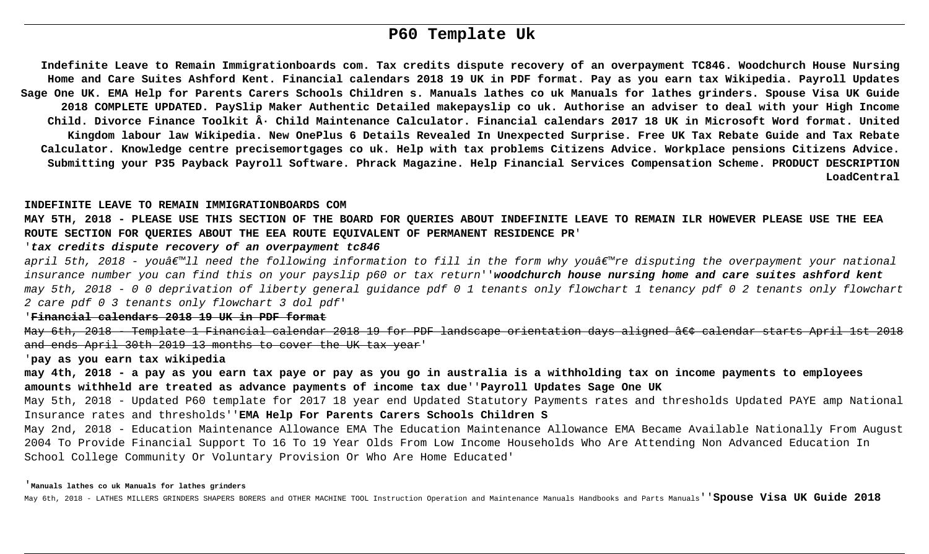# **P60 Template Uk**

**Indefinite Leave to Remain Immigrationboards com. Tax credits dispute recovery of an overpayment TC846. Woodchurch House Nursing Home and Care Suites Ashford Kent. Financial calendars 2018 19 UK in PDF format. Pay as you earn tax Wikipedia. Payroll Updates Sage One UK. EMA Help for Parents Carers Schools Children s. Manuals lathes co uk Manuals for lathes grinders. Spouse Visa UK Guide 2018 COMPLETE UPDATED. PaySlip Maker Authentic Detailed makepayslip co uk. Authorise an adviser to deal with your High Income** Child. Divorce Finance Toolkit · Child Maintenance Calculator. Financial calendars 2017 18 UK in Microsoft Word format. United **Kingdom labour law Wikipedia. New OnePlus 6 Details Revealed In Unexpected Surprise. Free UK Tax Rebate Guide and Tax Rebate Calculator. Knowledge centre precisemortgages co uk. Help with tax problems Citizens Advice. Workplace pensions Citizens Advice. Submitting your P35 Payback Payroll Software. Phrack Magazine. Help Financial Services Compensation Scheme. PRODUCT DESCRIPTION LoadCentral**

### **INDEFINITE LEAVE TO REMAIN IMMIGRATIONBOARDS COM**

**MAY 5TH, 2018 - PLEASE USE THIS SECTION OF THE BOARD FOR QUERIES ABOUT INDEFINITE LEAVE TO REMAIN ILR HOWEVER PLEASE USE THE EEA ROUTE SECTION FOR QUERIES ABOUT THE EEA ROUTE EQUIVALENT OF PERMANENT RESIDENCE PR**'

# '**tax credits dispute recovery of an overpayment tc846**

april 5th, 2018 - youâ $\notin$   $\mathbb{Z}$  need the following information to fill in the form why youâ $\notin$   $\mathbb{Z}$  ree disputing the overpayment your national insurance number you can find this on your payslip p60 or tax return''**woodchurch house nursing home and care suites ashford kent** may 5th, 2018 - 0 0 deprivation of liberty general guidance pdf 0 1 tenants only flowchart 1 tenancy pdf 0 2 tenants only flowchart 2 care pdf 0 3 tenants only flowchart 3 dol pdf'

### '**Financial calendars 2018 19 UK in PDF format**

May 6th, 2018 - Template 1 Financial calendar 2018 19 for PDF landscape orientation days aligned • calendar starts April 1st 2018 and ends April 30th 2019 13 months to cover the UK tax year'

### '**pay as you earn tax wikipedia**

**may 4th, 2018 - a pay as you earn tax paye or pay as you go in australia is a withholding tax on income payments to employees amounts withheld are treated as advance payments of income tax due**''**Payroll Updates Sage One UK**

May 5th, 2018 - Updated P60 template for 2017 18 year end Updated Statutory Payments rates and thresholds Updated PAYE amp National Insurance rates and thresholds''**EMA Help For Parents Carers Schools Children S**

May 2nd, 2018 - Education Maintenance Allowance EMA The Education Maintenance Allowance EMA Became Available Nationally From August 2004 To Provide Financial Support To 16 To 19 Year Olds From Low Income Households Who Are Attending Non Advanced Education In School College Community Or Voluntary Provision Or Who Are Home Educated'

#### '**Manuals lathes co uk Manuals for lathes grinders**

May 6th, 2018 - LATHES MILLERS GRINDERS SHAPERS BORERS and OTHER MACHINE TOOL Instruction Operation and Maintenance Manuals Handbooks and Parts Manuals''**Spouse Visa UK Guide 2018**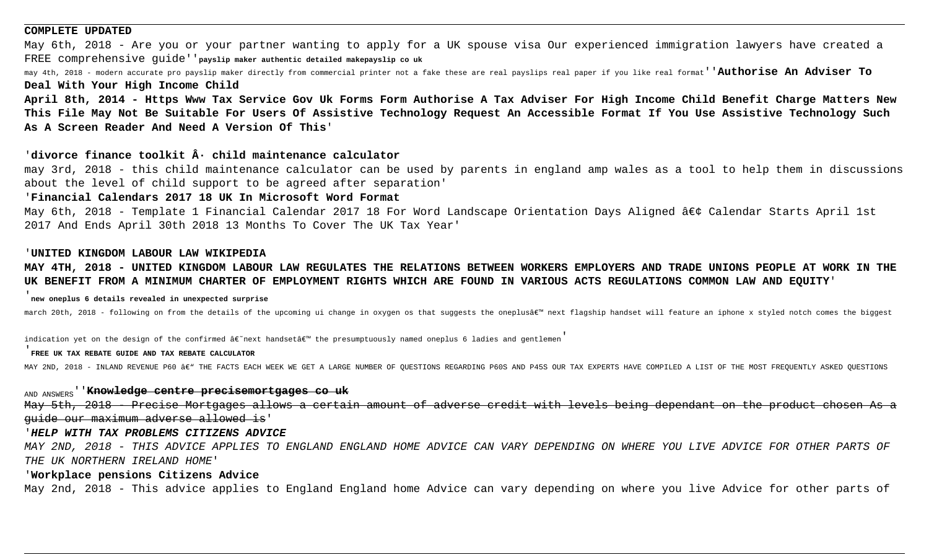### **COMPLETE UPDATED**

May 6th, 2018 - Are you or your partner wanting to apply for a UK spouse visa Our experienced immigration lawyers have created a FREE comprehensive guide''**payslip maker authentic detailed makepayslip co uk**

may 4th, 2018 - modern accurate pro payslip maker directly from commercial printer not a fake these are real payslips real paper if you like real format''**Authorise An Adviser To**

**Deal With Your High Income Child**

**April 8th, 2014 - Https Www Tax Service Gov Uk Forms Form Authorise A Tax Adviser For High Income Child Benefit Charge Matters New This File May Not Be Suitable For Users Of Assistive Technology Request An Accessible Format If You Use Assistive Technology Such As A Screen Reader And Need A Version Of This**'

# 'divorce finance toolkit  $\hat{A}$ <sup>*.*</sup> child maintenance calculator

may 3rd, 2018 - this child maintenance calculator can be used by parents in england amp wales as a tool to help them in discussions about the level of child support to be agreed after separation'

# '**Financial Calendars 2017 18 UK In Microsoft Word Format**

May 6th, 2018 - Template 1 Financial Calendar 2017 18 For Word Landscape Orientation Days Aligned • Calendar Starts April 1st 2017 And Ends April 30th 2018 13 Months To Cover The UK Tax Year'

### '**UNITED KINGDOM LABOUR LAW WIKIPEDIA**

**MAY 4TH, 2018 - UNITED KINGDOM LABOUR LAW REGULATES THE RELATIONS BETWEEN WORKERS EMPLOYERS AND TRADE UNIONS PEOPLE AT WORK IN THE UK BENEFIT FROM A MINIMUM CHARTER OF EMPLOYMENT RIGHTS WHICH ARE FOUND IN VARIOUS ACTS REGULATIONS COMMON LAW AND EQUITY**'

## '**new oneplus 6 details revealed in unexpected surprise**

march 20th, 2018 - following on from the details of the upcoming ui change in oxygen os that suggests the oneplus' next flagship handset will feature an iphone x styled notch comes the biggest

indication yet on the design of the confirmed  $\hat{a} \in \hat{a}$  andset $\hat{a} \in \hat{a}$  the presumptuously named oneplus 6 ladies and gentlemen

### '**FREE UK TAX REBATE GUIDE AND TAX REBATE CALCULATOR**

MAY 2ND, 2018 - INLAND REVENUE P60 â€" THE FACTS EACH WEEK WE GET A LARGE NUMBER OF QUESTIONS REGARDING P60S AND P45S OUR TAX EXPERTS HAVE COMPILED A LIST OF THE MOST FREQUENTLY ASKED QUESTIONS

AND ANSWERS''**Knowledge centre precisemortgages co uk** May 5th, 2018 - Precise Mortgages allows a certain amount of adverse credit with levels being dependant on the product chosen As a guide our maximum adverse allowed is'

### '**HELP WITH TAX PROBLEMS CITIZENS ADVICE**

MAY 2ND, 2018 - THIS ADVICE APPLIES TO ENGLAND ENGLAND HOME ADVICE CAN VARY DEPENDING ON WHERE YOU LIVE ADVICE FOR OTHER PARTS OF THE UK NORTHERN IRELAND HOME'

### '**Workplace pensions Citizens Advice**

May 2nd, 2018 - This advice applies to England England home Advice can vary depending on where you live Advice for other parts of